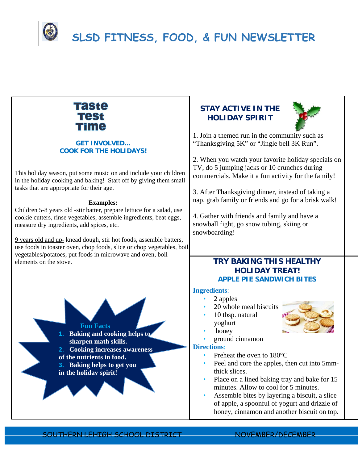

| Taste<br>Test<br><b>Time</b>                                                                                                                                                                                                                                                                                                                                                                                                                                                                                                                                                                              | <b>STAY ACTIVE IN THE</b><br><b>HOLIDAY SPIRIT</b>                                                                                                                                                                                                                                                                                                                                                                                                                                   |
|-----------------------------------------------------------------------------------------------------------------------------------------------------------------------------------------------------------------------------------------------------------------------------------------------------------------------------------------------------------------------------------------------------------------------------------------------------------------------------------------------------------------------------------------------------------------------------------------------------------|--------------------------------------------------------------------------------------------------------------------------------------------------------------------------------------------------------------------------------------------------------------------------------------------------------------------------------------------------------------------------------------------------------------------------------------------------------------------------------------|
| <b>GET INVOLVED</b><br><b>COOK FOR THE HOLIDAYS!</b><br>This holiday season, put some music on and include your children<br>in the holiday cooking and baking! Start off by giving them small<br>tasks that are appropriate for their age.<br><b>Examples:</b><br>Children 5-8 years old -stir batter, prepare lettuce for a salad, use<br>cookie cutters, rinse vegetables, assemble ingredients, beat eggs,<br>measure dry ingredients, add spices, etc.<br>9 years old and up- knead dough, stir hot foods, assemble batters,<br>use foods in toaster oven, chop foods, slice or chop vegetables, boil | 1. Join a themed run in the community such as<br>"Thanksgiving 5K" or "Jingle bell 3K Run".<br>2. When you watch your favorite holiday specials on<br>TV, do 5 jumping jacks or 10 crunches during<br>commercials. Make it a fun activity for the family!<br>3. After Thanksgiving dinner, instead of taking a<br>nap, grab family or friends and go for a brisk walk!<br>4. Gather with friends and family and have a<br>snowball fight, go snow tubing, skiing or<br>snowboarding! |
| vegetables/potatoes, put foods in microwave and oven, boil<br>elements on the stove.                                                                                                                                                                                                                                                                                                                                                                                                                                                                                                                      | <b>TRY BAKING THIS HEALTHY</b><br><b>HOLIDAY TREAT!</b><br><b>APPLE PIE SANDWICH BITES</b>                                                                                                                                                                                                                                                                                                                                                                                           |
| <b>Fun Facts</b><br>1. Baking and cooking helps to<br>sharpen math skills.<br><b>Cooking increases awareness</b><br>of the nutrients in food.<br><b>Baking helps to get you</b><br>in the holiday spirit!                                                                                                                                                                                                                                                                                                                                                                                                 | <b>Ingredients:</b><br>2 apples<br>20 whole meal biscuits<br>10 tbsp. natural<br>yoghurt<br>honey<br>ground cinnamon<br><b>Directions:</b><br>Preheat the oven to 180°C<br>Peel and core the apples, then cut into 5mm-<br>thick slices.<br>Place on a lined baking tray and bake for 15<br>minutes. Allow to cool for 5 minutes.<br>Assemble bites by layering a biscuit, a slice<br>of apple, a spoonful of yogurt and drizzle of<br>honey, cinnamon and another biscuit on top.   |